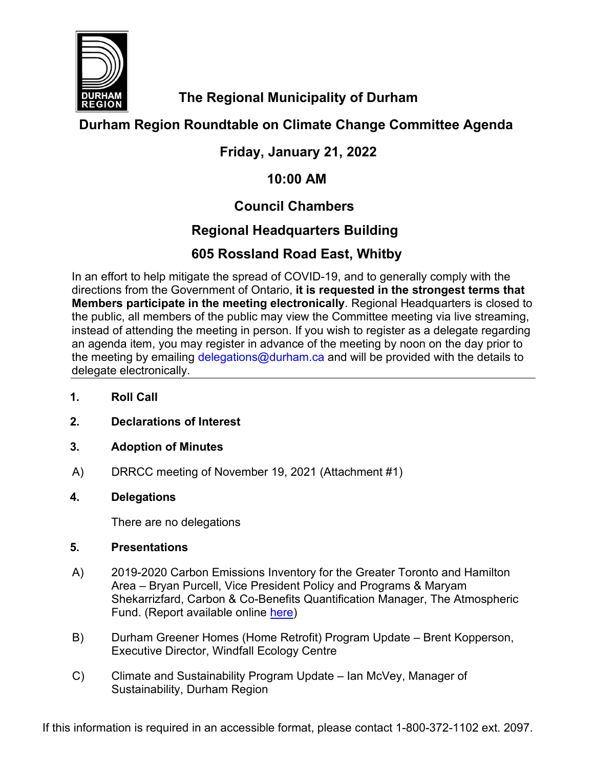

**The Regional Municipality of Durham**

# **Durham Region Roundtable on Climate Change Committee Agenda**

# **Friday, January 21, 2022**

# **10:00 AM**

# **Council Chambers**

# **Regional Headquarters Building**

# **605 Rossland Road East, Whitby**

In an effort to help mitigate the spread of COVID-19, and to generally comply with the directions from the Government of Ontario, **it is requested in the strongest terms that Members participate in the meeting electronically**. Regional Headquarters is closed to the public, all members of the public may view the Committee meeting via live streaming, instead of attending the meeting in person. If you wish to register as a delegate regarding an agenda item, you may register in advance of the meeting by noon on the day prior to the meeting by emailing [delegations@durham.ca](mailto:delegations@durham.ca) and will be provided with the details to delegate electronically.

- **1. Roll Call**
- **2. Declarations of Interest**
- **3. Adoption of Minutes**
- A) DRRCC meeting of November 19, 2021 (Attachment #1)

# **4. Delegations**

There are no delegations

# **5. Presentations**

- A) 2019-2020 Carbon Emissions Inventory for the Greater Toronto and Hamilton Area – Bryan Purcell, Vice President Policy and Programs & Maryam Shekarrizfard, Carbon & Co-Benefits Quantification Manager, The Atmospheric Fund. (Report available online [here\)](https://taf.ca/publications/2019-2020-carbon-emissions-for-the-gtha/)
- B) Durham Greener Homes (Home Retrofit) Program Update Brent Kopperson, Executive Director, Windfall Ecology Centre
- C) Climate and Sustainability Program Update Ian McVey, Manager of Sustainability, Durham Region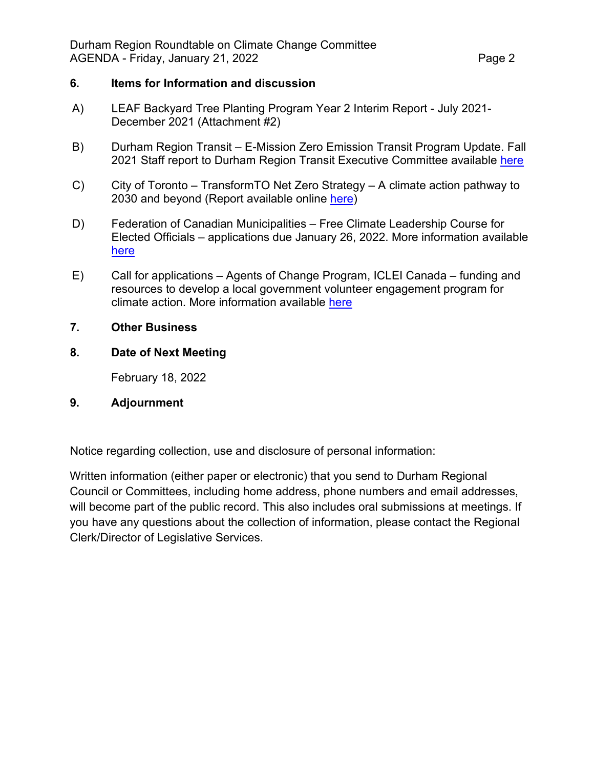# **6. Items for Information and discussion**

- A) LEAF Backyard Tree Planting Program Year 2 Interim Report July 2021- December 2021 (Attachment #2)
- B) Durham Region Transit E-Mission Zero Emission Transit Program Update. Fall 2021 Staff report to Durham Region Transit Executive Committee available [here](https://icreate7.esolutionsgroup.ca/11111068_DurhamRegion/en/regional-government/resources/Documents/Council/Transit-Committees-Reports/2021/2021-DRT-21.pdf)
- C) City of Toronto TransformTO Net Zero Strategy A climate action pathway to 2030 and beyond (Report available online [here\)](https://www.toronto.ca/legdocs/mmis/2021/ie/bgrd/backgroundfile-173758.pdf)
- D) Federation of Canadian Municipalities Free Climate Leadership Course for Elected Officials – applications due January 26, 2022. More information available [here](https://fcm.ca/en/resources/mcip/climate-leadership-course-elected-officials?utm_source=newsletter&utm_medium=email&utm_content=Learn%20more%20and%20apply%20by%20January%2026%2C%202022&utm_campaign=FCM%20Connect)
- E) Call for applications Agents of Change Program, ICLEI Canada funding and resources to develop a local government volunteer engagement program for climate action. More information available [here](https://icleicanada.org/wp-content/uploads/2022/01/AOC-Brochure-2.pdf)

# **7. Other Business**

# **8. Date of Next Meeting**

February 18, 2022

# **9. Adjournment**

Notice regarding collection, use and disclosure of personal information:

Written information (either paper or electronic) that you send to Durham Regional Council or Committees, including home address, phone numbers and email addresses, will become part of the public record. This also includes oral submissions at meetings. If you have any questions about the collection of information, please contact the Regional Clerk/Director of Legislative Services.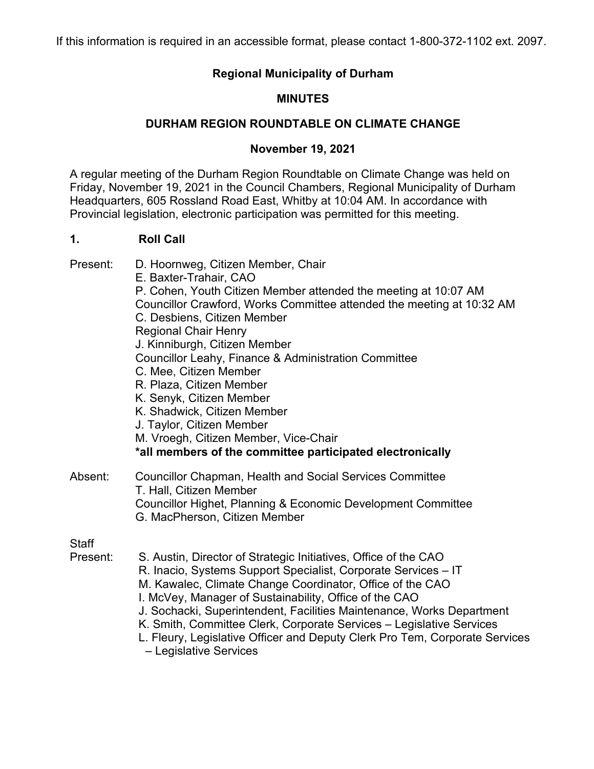If this information is required in an accessible format, please contact 1-800-372-1102 ext. 2097.

# **Regional Municipality of Durham**

# **MINUTES**

# **DURHAM REGION ROUNDTABLE ON CLIMATE CHANGE**

# **November 19, 2021**

A regular meeting of the Durham Region Roundtable on Climate Change was held on Friday, November 19, 2021 in the Council Chambers, Regional Municipality of Durham Headquarters, 605 Rossland Road East, Whitby at 10:04 AM. In accordance with Provincial legislation, electronic participation was permitted for this meeting.

# **1. Roll Call**

Present: D. Hoornweg, Citizen Member, Chair

| . ו טטטו                 | 2. Hoommog, OMZUN MOMDU, ONGH<br>E. Baxter-Trahair, CAO<br>P. Cohen, Youth Citizen Member attended the meeting at 10:07 AM<br>Councillor Crawford, Works Committee attended the meeting at 10:32 AM<br>C. Desbiens, Citizen Member<br><b>Regional Chair Henry</b><br>J. Kinniburgh, Citizen Member                                                                                                                                                                                       |
|--------------------------|------------------------------------------------------------------------------------------------------------------------------------------------------------------------------------------------------------------------------------------------------------------------------------------------------------------------------------------------------------------------------------------------------------------------------------------------------------------------------------------|
|                          | Councillor Leahy, Finance & Administration Committee<br>C. Mee, Citizen Member<br>R. Plaza, Citizen Member<br>K. Senyk, Citizen Member<br>K. Shadwick, Citizen Member<br>J. Taylor, Citizen Member<br>M. Vroegh, Citizen Member, Vice-Chair<br>*all members of the committee participated electronically                                                                                                                                                                                 |
| Absent:                  | <b>Councillor Chapman, Health and Social Services Committee</b><br>T. Hall, Citizen Member<br>Councillor Highet, Planning & Economic Development Committee<br>G. MacPherson, Citizen Member                                                                                                                                                                                                                                                                                              |
| <b>Staff</b><br>Present: | S. Austin, Director of Strategic Initiatives, Office of the CAO<br>R. Inacio, Systems Support Specialist, Corporate Services - IT<br>M. Kawalec, Climate Change Coordinator, Office of the CAO<br>I. McVey, Manager of Sustainability, Office of the CAO<br>J. Sochacki, Superintendent, Facilities Maintenance, Works Department<br>K. Smith, Committee Clerk, Corporate Services - Legislative Services<br>L. Fleury, Legislative Officer and Deputy Clerk Pro Tem, Corporate Services |

– Legislative Services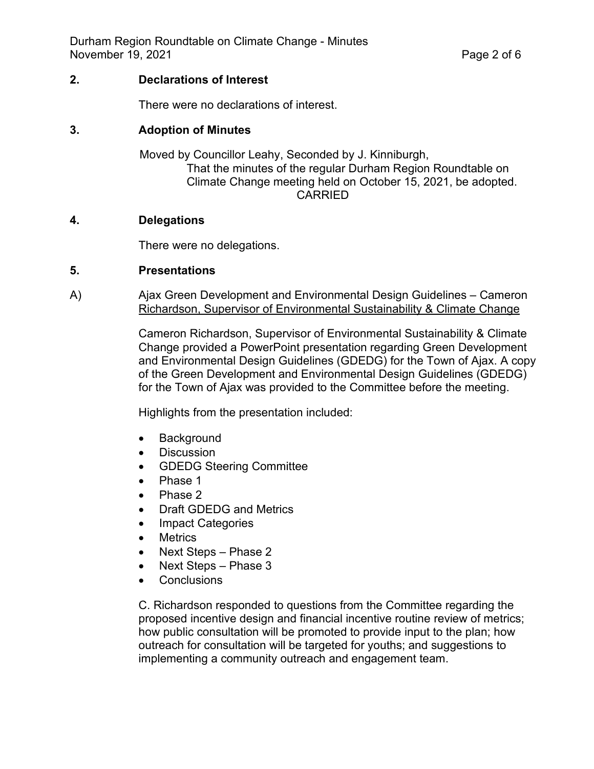# **2. Declarations of Interest**

There were no declarations of interest.

# **3. Adoption of Minutes**

Moved by Councillor Leahy, Seconded by J. Kinniburgh, That the minutes of the regular Durham Region Roundtable on Climate Change meeting held on October 15, 2021, be adopted. CARRIED

# **4. Delegations**

There were no delegations.

# **5. Presentations**

A) Ajax Green Development and Environmental Design Guidelines – Cameron Richardson, Supervisor of Environmental Sustainability & Climate Change

> Cameron Richardson, Supervisor of Environmental Sustainability & Climate Change provided a PowerPoint presentation regarding Green Development and Environmental Design Guidelines (GDEDG) for the Town of Ajax. A copy of the Green Development and Environmental Design Guidelines (GDEDG) for the Town of Ajax was provided to the Committee before the meeting.

Highlights from the presentation included:

- Background
- Discussion
- GDEDG Steering Committee
- Phase 1
- Phase 2
- Draft GDEDG and Metrics
- **Impact Categories**
- **Metrics**
- Next Steps Phase 2
- Next Steps Phase 3
- **Conclusions**

C. Richardson responded to questions from the Committee regarding the proposed incentive design and financial incentive routine review of metrics; how public consultation will be promoted to provide input to the plan; how outreach for consultation will be targeted for youths; and suggestions to implementing a community outreach and engagement team.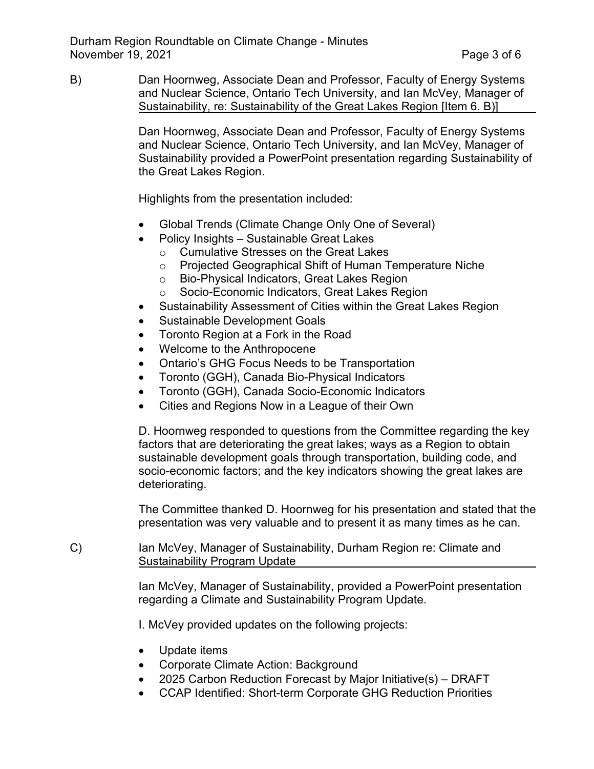B) Dan Hoornweg, Associate Dean and Professor, Faculty of Energy Systems and Nuclear Science, Ontario Tech University, and Ian McVey, Manager of Sustainability, re: Sustainability of the Great Lakes Region [Item 6. B)]

> Dan Hoornweg, Associate Dean and Professor, Faculty of Energy Systems and Nuclear Science, Ontario Tech University, and Ian McVey, Manager of Sustainability provided a PowerPoint presentation regarding Sustainability of the Great Lakes Region.

Highlights from the presentation included:

- Global Trends (Climate Change Only One of Several)
- Policy Insights Sustainable Great Lakes
	- o Cumulative Stresses on the Great Lakes
	- o Projected Geographical Shift of Human Temperature Niche
	- o Bio-Physical Indicators, Great Lakes Region
	- o Socio-Economic Indicators, Great Lakes Region
- Sustainability Assessment of Cities within the Great Lakes Region
- Sustainable Development Goals
- Toronto Region at a Fork in the Road
- Welcome to the Anthropocene
- Ontario's GHG Focus Needs to be Transportation
- Toronto (GGH), Canada Bio-Physical Indicators
- Toronto (GGH), Canada Socio-Economic Indicators
- Cities and Regions Now in a League of their Own

D. Hoornweg responded to questions from the Committee regarding the key factors that are deteriorating the great lakes; ways as a Region to obtain sustainable development goals through transportation, building code, and socio-economic factors; and the key indicators showing the great lakes are deteriorating.

The Committee thanked D. Hoornweg for his presentation and stated that the presentation was very valuable and to present it as many times as he can.

C) Ian McVey, Manager of Sustainability, Durham Region re: Climate and Sustainability Program Update

> Ian McVey, Manager of Sustainability, provided a PowerPoint presentation regarding a Climate and Sustainability Program Update.

I. McVey provided updates on the following projects:

- Update items
- Corporate Climate Action: Background
- 2025 Carbon Reduction Forecast by Major Initiative(s) DRAFT
- CCAP Identified: Short-term Corporate GHG Reduction Priorities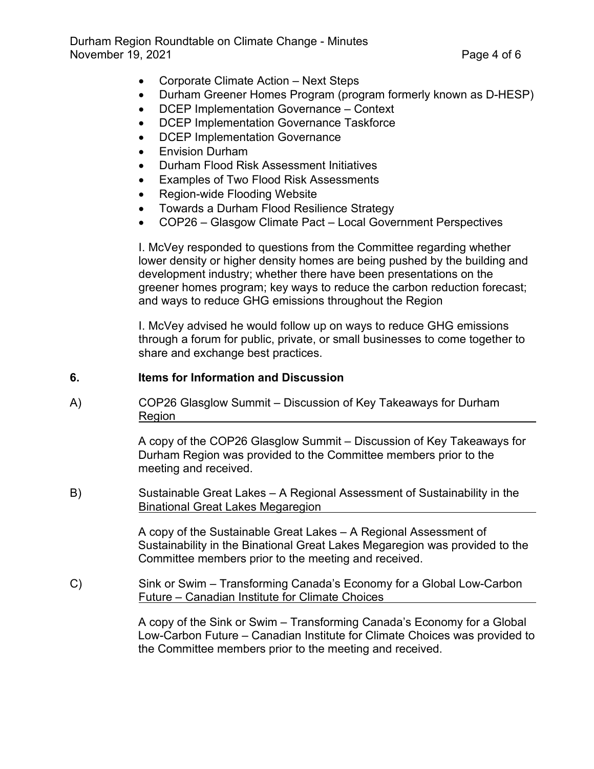- Corporate Climate Action Next Steps
- Durham Greener Homes Program (program formerly known as D-HESP)
- DCEP Implementation Governance Context
- DCEP Implementation Governance Taskforce
- DCEP Implementation Governance
- Envision Durham
- Durham Flood Risk Assessment Initiatives
- Examples of Two Flood Risk Assessments
- Region-wide Flooding Website
- Towards a Durham Flood Resilience Strategy
- COP26 Glasgow Climate Pact Local Government Perspectives

I. McVey responded to questions from the Committee regarding whether lower density or higher density homes are being pushed by the building and development industry; whether there have been presentations on the greener homes program; key ways to reduce the carbon reduction forecast; and ways to reduce GHG emissions throughout the Region

I. McVey advised he would follow up on ways to reduce GHG emissions through a forum for public, private, or small businesses to come together to share and exchange best practices.

## **6. Items for Information and Discussion**

A) COP26 Glasglow Summit – Discussion of Key Takeaways for Durham Region

> A copy of the COP26 Glasglow Summit – Discussion of Key Takeaways for Durham Region was provided to the Committee members prior to the meeting and received.

B) Sustainable Great Lakes – A Regional Assessment of Sustainability in the Binational Great Lakes Megaregion

> A copy of the Sustainable Great Lakes – A Regional Assessment of Sustainability in the Binational Great Lakes Megaregion was provided to the Committee members prior to the meeting and received.

C) Sink or Swim – Transforming Canada's Economy for a Global Low-Carbon Future – Canadian Institute for Climate Choices

> A copy of the Sink or Swim – Transforming Canada's Economy for a Global Low-Carbon Future – Canadian Institute for Climate Choices was provided to the Committee members prior to the meeting and received.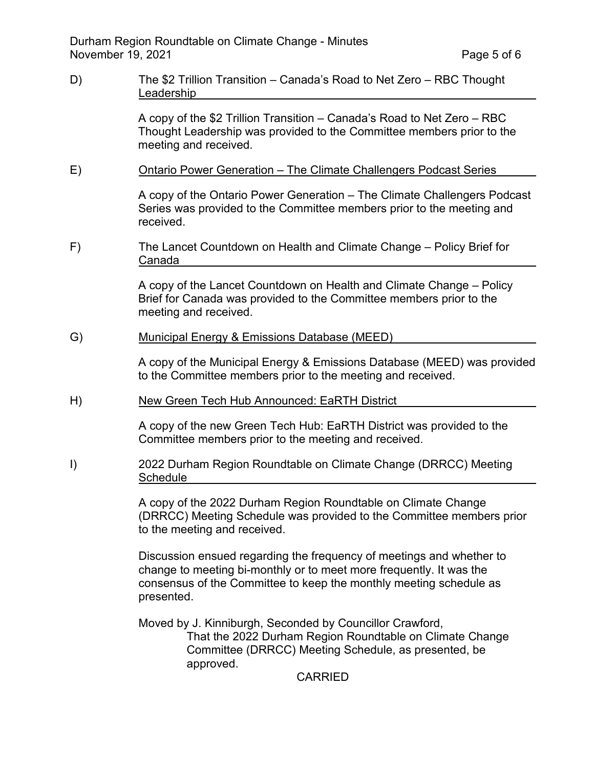D) The \$2 Trillion Transition – Canada's Road to Net Zero – RBC Thought Leadership

> A copy of the \$2 Trillion Transition – Canada's Road to Net Zero – RBC Thought Leadership was provided to the Committee members prior to the meeting and received.

E) Ontario Power Generation – The Climate Challengers Podcast Series

A copy of the Ontario Power Generation – The Climate Challengers Podcast Series was provided to the Committee members prior to the meeting and received.

F) The Lancet Countdown on Health and Climate Change – Policy Brief for Canada

> A copy of the Lancet Countdown on Health and Climate Change – Policy Brief for Canada was provided to the Committee members prior to the meeting and received.

G) Municipal Energy & Emissions Database (MEED)

A copy of the Municipal Energy & Emissions Database (MEED) was provided to the Committee members prior to the meeting and received.

H) New Green Tech Hub Announced: EaRTH District

A copy of the new Green Tech Hub: EaRTH District was provided to the Committee members prior to the meeting and received.

I) 2022 Durham Region Roundtable on Climate Change (DRRCC) Meeting Schedule

> A copy of the 2022 Durham Region Roundtable on Climate Change (DRRCC) Meeting Schedule was provided to the Committee members prior to the meeting and received.

Discussion ensued regarding the frequency of meetings and whether to change to meeting bi-monthly or to meet more frequently. It was the consensus of the Committee to keep the monthly meeting schedule as presented.

Moved by J. Kinniburgh, Seconded by Councillor Crawford, That the 2022 Durham Region Roundtable on Climate Change Committee (DRRCC) Meeting Schedule, as presented, be approved.

CARRIED